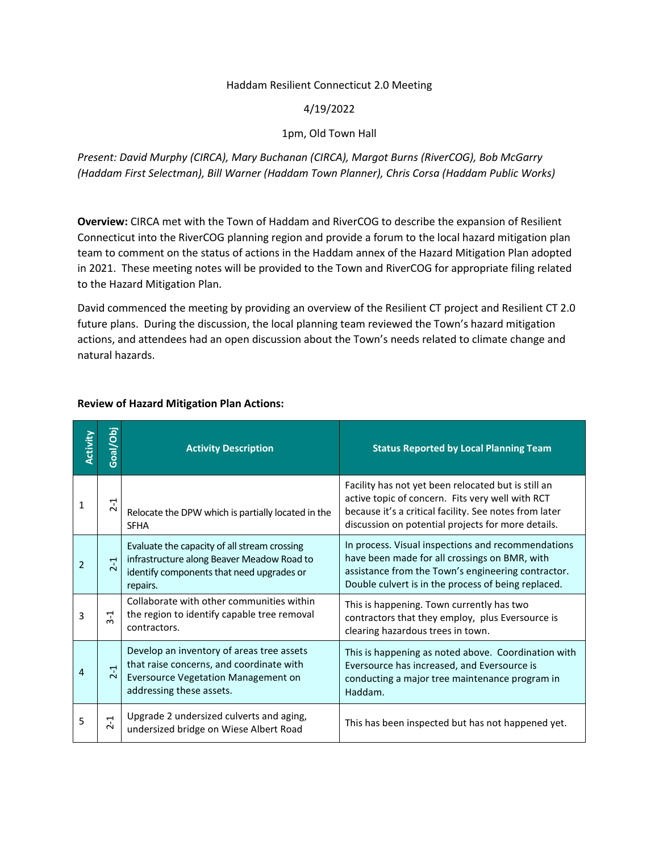#### Haddam Resilient Connecticut 2.0 Meeting

### 4/19/2022

# 1pm, Old Town Hall

*Present: David Murphy (CIRCA), Mary Buchanan (CIRCA), Margot Burns (RiverCOG), Bob McGarry (Haddam First Selectman), Bill Warner (Haddam Town Planner), Chris Corsa (Haddam Public Works)*

**Overview:** CIRCA met with the Town of Haddam and RiverCOG to describe the expansion of Resilient Connecticut into the RiverCOG planning region and provide a forum to the local hazard mitigation plan team to comment on the status of actions in the Haddam annex of the Hazard Mitigation Plan adopted in 2021. These meeting notes will be provided to the Town and RiverCOG for appropriate filing related to the Hazard Mitigation Plan.

David commenced the meeting by providing an overview of the Resilient CT project and Resilient CT 2.0 future plans. During the discussion, the local planning team reviewed the Town's hazard mitigation actions, and attendees had an open discussion about the Town's needs related to climate change and natural hazards.

| Activity | Goal/Obj                           | <b>Activity Description</b>                                                                                                                                     | <b>Status Reported by Local Planning Team</b>                                                                                                                                                                           |
|----------|------------------------------------|-----------------------------------------------------------------------------------------------------------------------------------------------------------------|-------------------------------------------------------------------------------------------------------------------------------------------------------------------------------------------------------------------------|
| 1        | $2 - 1$                            | Relocate the DPW which is partially located in the<br><b>SFHA</b>                                                                                               | Facility has not yet been relocated but is still an<br>active topic of concern. Fits very well with RCT<br>because it's a critical facility. See notes from later<br>discussion on potential projects for more details. |
| 2        | 부<br>$\sim$                        | Evaluate the capacity of all stream crossing<br>infrastructure along Beaver Meadow Road to<br>identify components that need upgrades or<br>repairs.             | In process. Visual inspections and recommendations<br>have been made for all crossings on BMR, with<br>assistance from the Town's engineering contractor.<br>Double culvert is in the process of being replaced.        |
| 3        | ᅻ<br>ന്                            | Collaborate with other communities within<br>the region to identify capable tree removal<br>contractors.                                                        | This is happening. Town currently has two<br>contractors that they employ, plus Eversource is<br>clearing hazardous trees in town.                                                                                      |
| 4        | 루<br>$\overline{\mathsf{c}}$       | Develop an inventory of areas tree assets<br>that raise concerns, and coordinate with<br><b>Eversource Vegetation Management on</b><br>addressing these assets. | This is happening as noted above. Coordination with<br>Eversource has increased, and Eversource is<br>conducting a major tree maintenance program in<br>Haddam.                                                         |
| 5        | $\overline{\phantom{0}}$<br>$\sim$ | Upgrade 2 undersized culverts and aging,<br>undersized bridge on Wiese Albert Road                                                                              | This has been inspected but has not happened yet.                                                                                                                                                                       |

#### **Review of Hazard Mitigation Plan Actions:**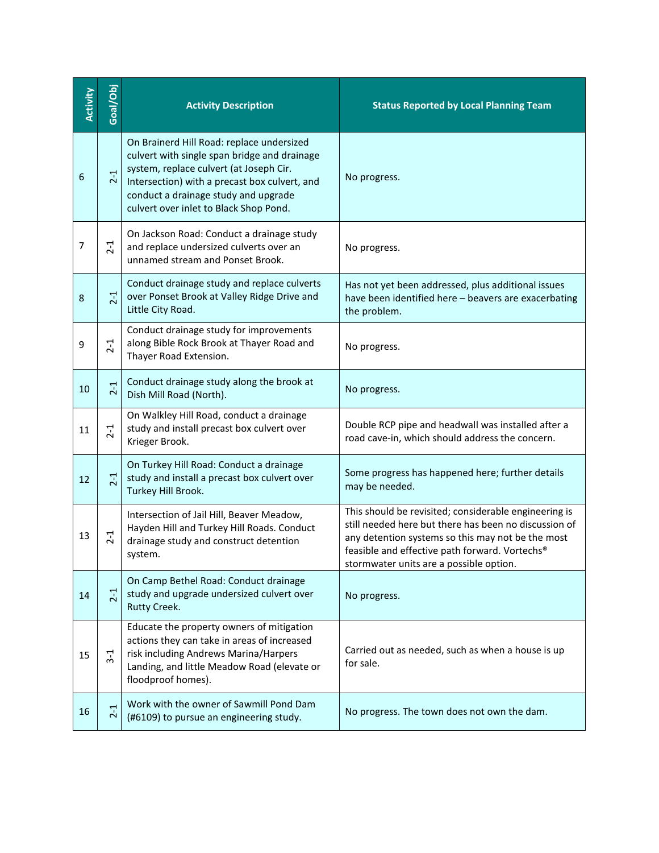| Activity | Goal/Obj | <b>Activity Description</b>                                                                                                                                                                                                                                             | <b>Status Reported by Local Planning Team</b>                                                                                                                                                                                                                    |
|----------|----------|-------------------------------------------------------------------------------------------------------------------------------------------------------------------------------------------------------------------------------------------------------------------------|------------------------------------------------------------------------------------------------------------------------------------------------------------------------------------------------------------------------------------------------------------------|
| 6        | $2-1$    | On Brainerd Hill Road: replace undersized<br>culvert with single span bridge and drainage<br>system, replace culvert (at Joseph Cir.<br>Intersection) with a precast box culvert, and<br>conduct a drainage study and upgrade<br>culvert over inlet to Black Shop Pond. | No progress.                                                                                                                                                                                                                                                     |
| 7        | $2 - 1$  | On Jackson Road: Conduct a drainage study<br>and replace undersized culverts over an<br>unnamed stream and Ponset Brook.                                                                                                                                                | No progress.                                                                                                                                                                                                                                                     |
| 8        | $2-1$    | Conduct drainage study and replace culverts<br>over Ponset Brook at Valley Ridge Drive and<br>Little City Road.                                                                                                                                                         | Has not yet been addressed, plus additional issues<br>have been identified here - beavers are exacerbating<br>the problem.                                                                                                                                       |
| 9        | $2-1$    | Conduct drainage study for improvements<br>along Bible Rock Brook at Thayer Road and<br>Thayer Road Extension.                                                                                                                                                          | No progress.                                                                                                                                                                                                                                                     |
| 10       | $2 - 1$  | Conduct drainage study along the brook at<br>Dish Mill Road (North).                                                                                                                                                                                                    | No progress.                                                                                                                                                                                                                                                     |
| 11       | $2 - 1$  | On Walkley Hill Road, conduct a drainage<br>study and install precast box culvert over<br>Krieger Brook.                                                                                                                                                                | Double RCP pipe and headwall was installed after a<br>road cave-in, which should address the concern.                                                                                                                                                            |
| 12       | $2-1$    | On Turkey Hill Road: Conduct a drainage<br>study and install a precast box culvert over<br>Turkey Hill Brook.                                                                                                                                                           | Some progress has happened here; further details<br>may be needed.                                                                                                                                                                                               |
| 13       | $2 - 1$  | Intersection of Jail Hill, Beaver Meadow,<br>Hayden Hill and Turkey Hill Roads. Conduct<br>drainage study and construct detention<br>system.                                                                                                                            | This should be revisited; considerable engineering is<br>still needed here but there has been no discussion of<br>any detention systems so this may not be the most<br>feasible and effective path forward. Vortechs®<br>stormwater units are a possible option. |
| 14       | $2-1$    | On Camp Bethel Road: Conduct drainage<br>study and upgrade undersized culvert over<br>Rutty Creek.                                                                                                                                                                      | No progress.                                                                                                                                                                                                                                                     |
| 15       | $3-1$    | Educate the property owners of mitigation<br>actions they can take in areas of increased<br>risk including Andrews Marina/Harpers<br>Landing, and little Meadow Road (elevate or<br>floodproof homes).                                                                  | Carried out as needed, such as when a house is up<br>for sale.                                                                                                                                                                                                   |
| 16       | $2-1$    | Work with the owner of Sawmill Pond Dam<br>(#6109) to pursue an engineering study.                                                                                                                                                                                      | No progress. The town does not own the dam.                                                                                                                                                                                                                      |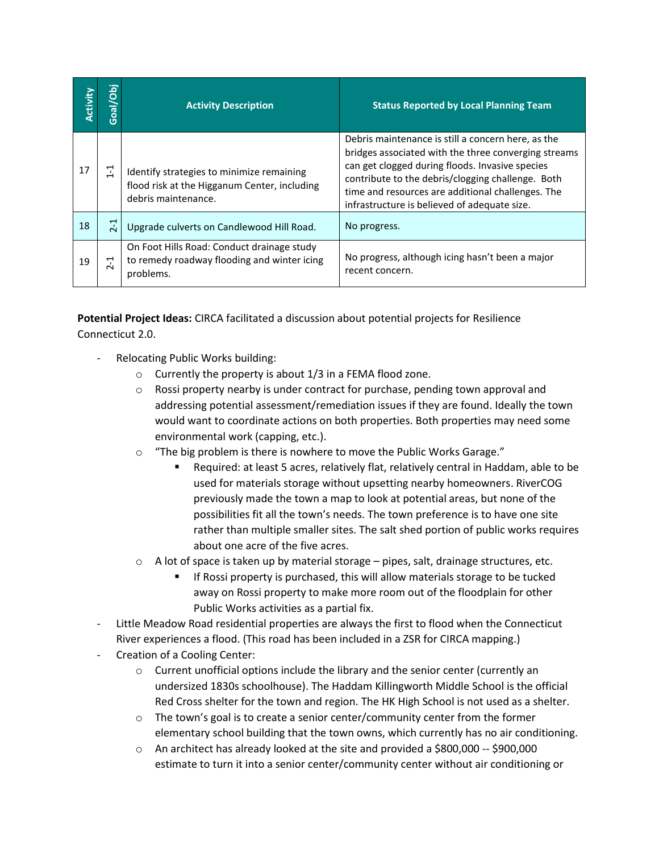| Activity | <b>Jap</b><br>Goal | <b>Activity Description</b>                                                                                      | <b>Status Reported by Local Planning Team</b>                                                                                                                                                                                                                                                                           |
|----------|--------------------|------------------------------------------------------------------------------------------------------------------|-------------------------------------------------------------------------------------------------------------------------------------------------------------------------------------------------------------------------------------------------------------------------------------------------------------------------|
| 17       | $\Xi$              | Identify strategies to minimize remaining<br>flood risk at the Higganum Center, including<br>debris maintenance. | Debris maintenance is still a concern here, as the<br>bridges associated with the three converging streams<br>can get clogged during floods. Invasive species<br>contribute to the debris/clogging challenge. Both<br>time and resources are additional challenges. The<br>infrastructure is believed of adequate size. |
| 18       | $\overline{C}$     | Upgrade culverts on Candlewood Hill Road.                                                                        | No progress.                                                                                                                                                                                                                                                                                                            |
| 19       | ᅻ<br>$\sim$        | On Foot Hills Road: Conduct drainage study<br>to remedy roadway flooding and winter icing<br>problems.           | No progress, although icing hasn't been a major<br>recent concern.                                                                                                                                                                                                                                                      |

**Potential Project Ideas:** CIRCA facilitated a discussion about potential projects for Resilience Connecticut 2.0.

- Relocating Public Works building:
	- o Currently the property is about 1/3 in a FEMA flood zone.
	- $\circ$  Rossi property nearby is under contract for purchase, pending town approval and addressing potential assessment/remediation issues if they are found. Ideally the town would want to coordinate actions on both properties. Both properties may need some environmental work (capping, etc.).
	- o "The big problem is there is nowhere to move the Public Works Garage."
		- Required: at least 5 acres, relatively flat, relatively central in Haddam, able to be used for materials storage without upsetting nearby homeowners. RiverCOG previously made the town a map to look at potential areas, but none of the possibilities fit all the town's needs. The town preference is to have one site rather than multiple smaller sites. The salt shed portion of public works requires about one acre of the five acres.
	- $\circ$  A lot of space is taken up by material storage pipes, salt, drainage structures, etc.
		- If Rossi property is purchased, this will allow materials storage to be tucked away on Rossi property to make more room out of the floodplain for other Public Works activities as a partial fix.
- Little Meadow Road residential properties are always the first to flood when the Connecticut River experiences a flood. (This road has been included in a ZSR for CIRCA mapping.)
- Creation of a Cooling Center:
	- $\circ$  Current unofficial options include the library and the senior center (currently an undersized 1830s schoolhouse). The Haddam Killingworth Middle School is the official Red Cross shelter for the town and region. The HK High School is not used as a shelter.
	- $\circ$  The town's goal is to create a senior center/community center from the former elementary school building that the town owns, which currently has no air conditioning.
	- o An architect has already looked at the site and provided a \$800,000 -- \$900,000 estimate to turn it into a senior center/community center without air conditioning or